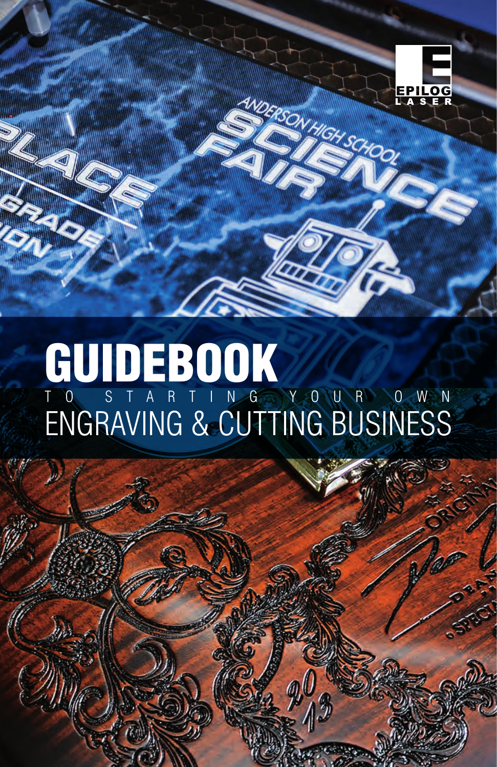

FOR

J

e e

TE



25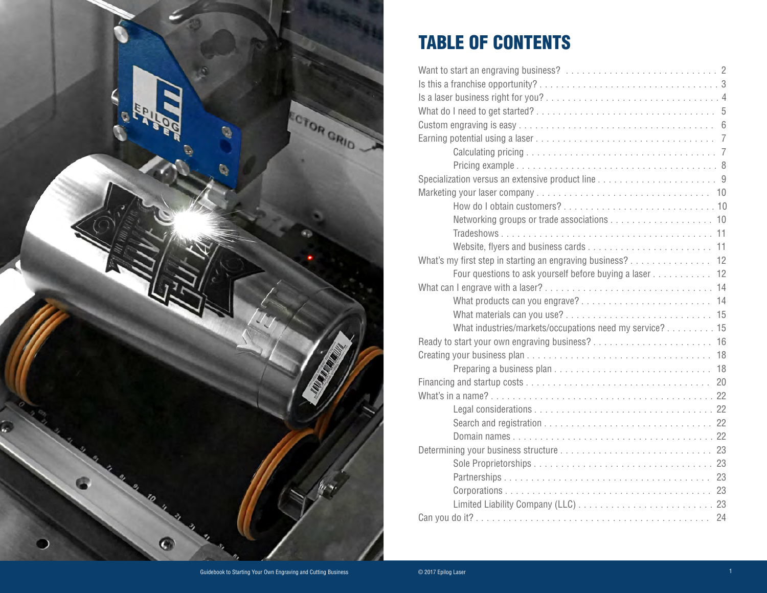

# TABLE OF CONTENTS

| What's my first step in starting an engraving business? 12                                 |
|--------------------------------------------------------------------------------------------|
| Four questions to ask yourself before buying a laser 12                                    |
|                                                                                            |
|                                                                                            |
|                                                                                            |
| What industries/markets/occupations need my service? 15                                    |
|                                                                                            |
|                                                                                            |
| Preparing a business plan $\ldots \ldots \ldots \ldots \ldots \ldots \ldots \ldots \ldots$ |
|                                                                                            |
|                                                                                            |
|                                                                                            |
|                                                                                            |
|                                                                                            |
|                                                                                            |
|                                                                                            |
|                                                                                            |
|                                                                                            |
|                                                                                            |
|                                                                                            |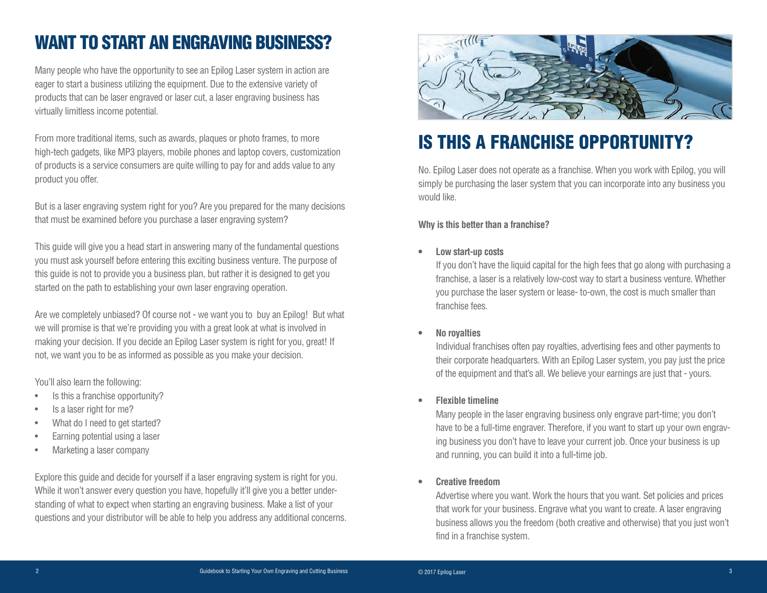# WANT TO START AN ENGRAVING BUSINESS?

Many people who have the opportunity to see an Epilog Laser system in action are eager to start a business utilizing the equipment. Due to the extensive variety of products that can be laser engraved or laser cut, a laser engraving business has virtually limitless income potential.

From more traditional items, such as awards, plaques or photo frames, to more high-tech gadgets, like MP3 players, mobile phones and laptop covers, customization of products is a service consumers are quite willing to pay for and adds value to any product you offer.

But is a laser engraving system right for you? Are you prepared for the many decisions that must be examined before you purchase a laser engraving system?

This guide will give you a head start in answering many of the fundamental questions you must ask yourself before entering this exciting business venture. The purpose of this guide is not to provide you a business plan, but rather it is designed to get you started on the path to establishing your own laser engraving operation.

Are we completely unbiased? Of course not - we want you to buy an Epilog! But what we will promise is that we're providing you with a great look at what is involved in making your decision. If you decide an Epilog Laser system is right for you, great! If not, we want you to be as informed as possible as you make your decision.

### You'll also learn the following:

- Is this a franchise opportunity?
- Is a laser right for me?
- What do I need to get started?
- Earning potential using a laser
- Marketing a laser company

Explore this guide and decide for yourself if a laser engraving system is right for you. While it won't answer every question you have, hopefully it'll give you a better understanding of what to expect when starting an engraving business. Make a list of your questions and your distributor will be able to help you address any additional concerns.



# IS THIS A FRANCHISE OPPORTUNITY?

No. Epilog Laser does not operate as a franchise. When you work with Epilog, you will simply be purchasing the laser system that you can incorporate into any business you would like.

**Why is this better than a franchise?**

## **• Low start-up costs**

If you don't have the liquid capital for the high fees that go along with purchasing a franchise, a laser is a relatively low-cost way to start a business venture. Whether you purchase the laser system or lease- to-own, the cost is much smaller than franchise fees.

**• No royalties**

Individual franchises often pay royalties, advertising fees and other payments to their corporate headquarters. With an Epilog Laser system, you pay just the price of the equipment and that's all. We believe your earnings are just that - yours.

## **• Flexible timeline**

Many people in the laser engraving business only engrave part-time; you don't have to be a full-time engraver. Therefore, if you want to start up your own engraving business you don't have to leave your current job. Once your business is up and running, you can build it into a full-time job.

## **• Creative freedom**

Advertise where you want. Work the hours that you want. Set policies and prices that work for your business. Engrave what you want to create. A laser engraving business allows you the freedom (both creative and otherwise) that you just won't find in a franchise system.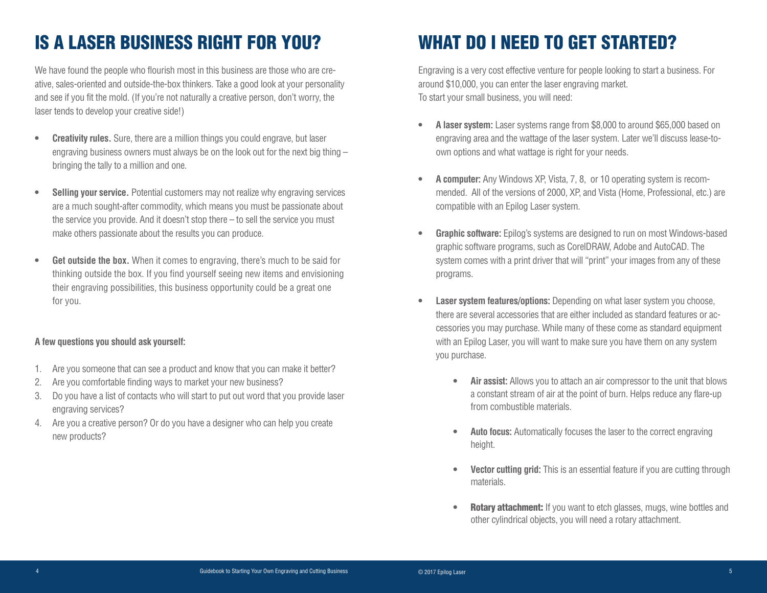# IS A LASER BUSINESS RIGHT FOR YOU?

We have found the people who flourish most in this business are those who are creative, sales-oriented and outside-the-box thinkers. Take a good look at your personality and see if you fit the mold. (If you're not naturally a creative person, don't worry, the laser tends to develop your creative side!)

- **• Creativity rules.** Sure, there are a million things you could engrave, but laser engraving business owners must always be on the look out for the next big thing – bringing the tally to a million and one.
- **• Selling your service.** Potential customers may not realize why engraving services are a much sought-after commodity, which means you must be passionate about the service you provide. And it doesn't stop there – to sell the service you must make others passionate about the results you can produce.
- **• Get outside the box.** When it comes to engraving, there's much to be said for thinking outside the box. If you find yourself seeing new items and envisioning their engraving possibilities, this business opportunity could be a great one for you.

## **A few questions you should ask yourself:**

- 1. Are you someone that can see a product and know that you can make it better?
- 2. Are you comfortable finding ways to market your new business?
- 3. Do you have a list of contacts who will start to put out word that you provide laser engraving services?
- 4. Are you a creative person? Or do you have a designer who can help you create new products?

# WHAT DO I NEED TO GET STARTED?

Engraving is a very cost effective venture for people looking to start a business. For around \$10,000, you can enter the laser engraving market. To start your small business, you will need:

- **• A laser system:** Laser systems range from \$8,000 to around \$65,000 based on engraving area and the wattage of the laser system. Later we'll discuss lease-toown options and what wattage is right for your needs.
- **• A computer:** Any Windows XP, Vista, 7, 8, or 10 operating system is recommended. All of the versions of 2000, XP, and Vista (Home, Professional, etc.) are compatible with an Epilog Laser system.
- **• Graphic software:** Epilog's systems are designed to run on most Windows-based graphic software programs, such as CorelDRAW, Adobe and AutoCAD. The system comes with a print driver that will "print" your images from any of these programs.
- **Laser system features/options:** Depending on what laser system you choose, there are several accessories that are either included as standard features or accessories you may purchase. While many of these come as standard equipment with an Epilog Laser, you will want to make sure you have them on any system you purchase.
	- **• Air assist:** Allows you to attach an air compressor to the unit that blows a constant stream of air at the point of burn. Helps reduce any flare-up from combustible materials.
	- **• Auto focus:** Automatically focuses the laser to the correct engraving height.
	- **• Vector cutting grid:** This is an essential feature if you are cutting through materials.
	- **Rotary attachment:** If you want to etch glasses, mugs, wine bottles and other cylindrical objects, you will need a rotary attachment.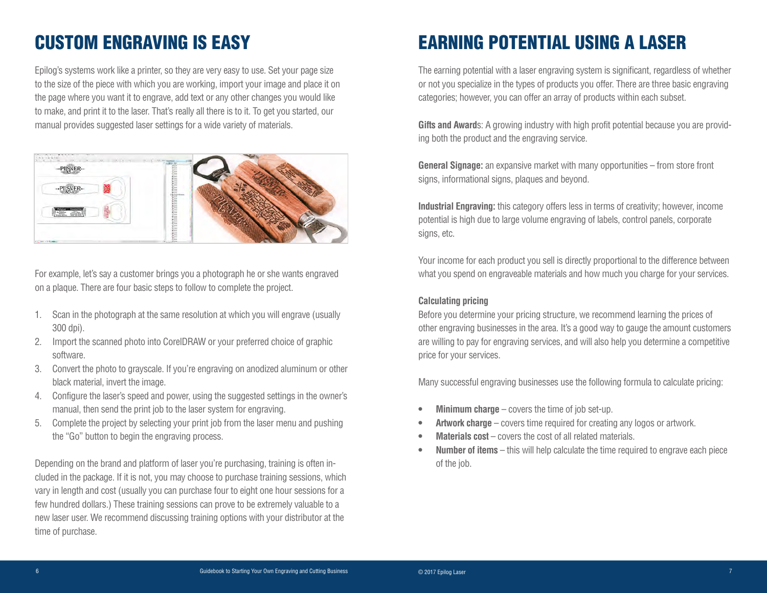# CUSTOM ENGRAVING IS EASY

Epilog's systems work like a printer, so they are very easy to use. Set your page size to the size of the piece with which you are working, import your image and place it on the page where you want it to engrave, add text or any other changes you would like to make, and print it to the laser. That's really all there is to it. To get you started, our manual provides suggested laser settings for a wide variety of materials.



For example, let's say a customer brings you a photograph he or she wants engraved on a plaque. There are four basic steps to follow to complete the project.

- 1. Scan in the photograph at the same resolution at which you will engrave (usually 300 dpi).
- 2. Import the scanned photo into CorelDRAW or your preferred choice of graphic software.
- 3. Convert the photo to grayscale. If you're engraving on anodized aluminum or other black material, invert the image.
- 4. Configure the laser's speed and power, using the suggested settings in the owner's manual, then send the print job to the laser system for engraving.
- 5. Complete the project by selecting your print job from the laser menu and pushing the "Go" button to begin the engraving process.

Depending on the brand and platform of laser you're purchasing, training is often included in the package. If it is not, you may choose to purchase training sessions, which vary in length and cost (usually you can purchase four to eight one hour sessions for a few hundred dollars.) These training sessions can prove to be extremely valuable to a new laser user. We recommend discussing training options with your distributor at the time of purchase.

# EARNING POTENTIAL USING A LASER

The earning potential with a laser engraving system is significant, regardless of whether or not you specialize in the types of products you offer. There are three basic engraving categories; however, you can offer an array of products within each subset.

**Gifts and Award**s: A growing industry with high profit potential because you are providing both the product and the engraving service.

**General Signage:** an expansive market with many opportunities – from store front signs, informational signs, plaques and beyond.

**Industrial Engraving:** this category offers less in terms of creativity; however, income potential is high due to large volume engraving of labels, control panels, corporate signs, etc.

Your income for each product you sell is directly proportional to the difference between what you spend on engraveable materials and how much you charge for your services.

## **Calculating pricing**

Before you determine your pricing structure, we recommend learning the prices of other engraving businesses in the area. It's a good way to gauge the amount customers are willing to pay for engraving services, and will also help you determine a competitive price for your services.

Many successful engraving businesses use the following formula to calculate pricing:

- **Minimum charge** covers the time of job set-up.
- **• Artwork charge** covers time required for creating any logos or artwork.
- **• Materials cost** covers the cost of all related materials.
- **• Number of items** this will help calculate the time required to engrave each piece of the job.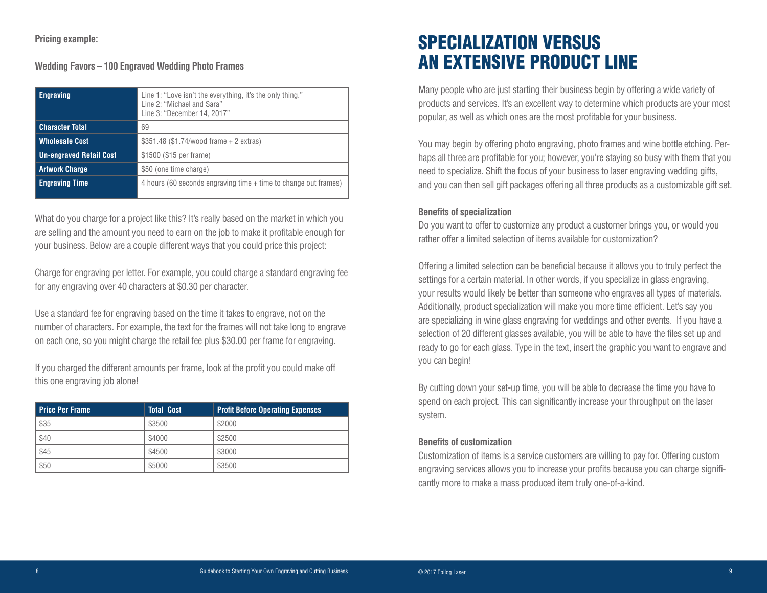## **Pricing example:**

**Wedding Favors – 100 Engraved Wedding Photo Frames**

| Engraving                      | Line 1: "Love isn't the everything, it's the only thing."<br>Line 2: "Michael and Sara"<br>Line 3: "December 14, 2017" |
|--------------------------------|------------------------------------------------------------------------------------------------------------------------|
| Character Total                | 69                                                                                                                     |
| l Wholesale Cost               | $$351.48$ (\$1.74/wood frame + 2 extras)                                                                               |
| <b>Un-engraved Retail Cost</b> | \$1500 (\$15 per frame)                                                                                                |
| <b>Artwork Charge</b>          | \$50 (one time charge)                                                                                                 |
| Engraving Time                 | 4 hours (60 seconds engraving time + time to change out frames)                                                        |

What do you charge for a project like this? It's really based on the market in which you are selling and the amount you need to earn on the job to make it profitable enough for your business. Below are a couple different ways that you could price this project:

Charge for engraving per letter. For example, you could charge a standard engraving fee for any engraving over 40 characters at \$0.30 per character.

Use a standard fee for engraving based on the time it takes to engrave, not on the number of characters. For example, the text for the frames will not take long to engrave on each one, so you might charge the retail fee plus \$30.00 per frame for engraving.

If you charged the different amounts per frame, look at the profit you could make off this one engraving job alone!

| <b>Price Per Frame</b> | <b>Total Cost</b> | <b>Profit Before Operating Expenses</b> |
|------------------------|-------------------|-----------------------------------------|
| \$35                   | \$3500            | \$2000                                  |
| \$40                   | \$4000            | \$2500                                  |
| \$45                   | \$4500            | \$3000                                  |
| \$50                   | \$5000            | \$3500                                  |

# SPECIALIZATION VERSUS AN EXTENSIVE PRODUCT LINE

Many people who are just starting their business begin by offering a wide variety of products and services. It's an excellent way to determine which products are your most popular, as well as which ones are the most profitable for your business.

You may begin by offering photo engraving, photo frames and wine bottle etching. Perhaps all three are profitable for you; however, you're staying so busy with them that you need to specialize. Shift the focus of your business to laser engraving wedding gifts, and you can then sell gift packages offering all three products as a customizable gift set.

#### **Benefits of specialization**

Do you want to offer to customize any product a customer brings you, or would you rather offer a limited selection of items available for customization?

Offering a limited selection can be beneficial because it allows you to truly perfect the settings for a certain material. In other words, if you specialize in glass engraving, your results would likely be better than someone who engraves all types of materials. Additionally, product specialization will make you more time efficient. Let's say you are specializing in wine glass engraving for weddings and other events. If you have a selection of 20 different glasses available, you will be able to have the files set up and ready to go for each glass. Type in the text, insert the graphic you want to engrave and you can begin!

By cutting down your set-up time, you will be able to decrease the time you have to spend on each project. This can significantly increase your throughput on the laser system.

## **Benefits of customization**

Customization of items is a service customers are willing to pay for. Offering custom engraving services allows you to increase your profits because you can charge significantly more to make a mass produced item truly one-of-a-kind.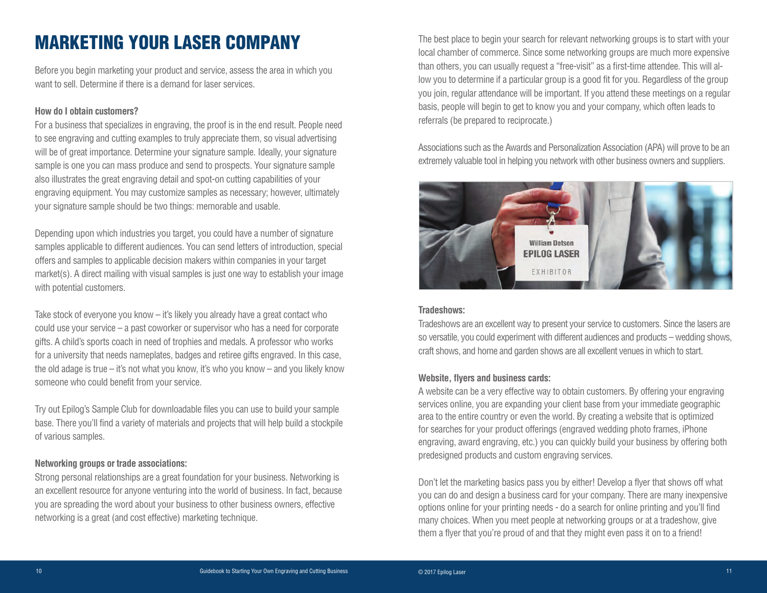# MARKETING YOUR LASER COMPANY

Before you begin marketing your product and service, assess the area in which you want to sell. Determine if there is a demand for laser services.

### **How do I obtain customers?**

For a business that specializes in engraving, the proof is in the end result. People need to see engraving and cutting examples to truly appreciate them, so visual advertising will be of great importance. Determine your signature sample. Ideally, your signature sample is one you can mass produce and send to prospects. Your signature sample also illustrates the great engraving detail and spot-on cutting capabilities of your engraving equipment. You may customize samples as necessary; however, ultimately your signature sample should be two things: memorable and usable.

Depending upon which industries you target, you could have a number of signature samples applicable to different audiences. You can send letters of introduction, special offers and samples to applicable decision makers within companies in your target market(s). A direct mailing with visual samples is just one way to establish your image with potential customers.

Take stock of everyone you know – it's likely you already have a great contact who could use your service – a past coworker or supervisor who has a need for corporate gifts. A child's sports coach in need of trophies and medals. A professor who works for a university that needs nameplates, badges and retiree gifts engraved. In this case, the old adage is true – it's not what you know, it's who you know – and you likely know someone who could benefit from your service.

Try out Epilog's Sample Club for downloadable files you can use to build your sample base. There you'll find a variety of materials and projects that will help build a stockpile of various samples.

# **Networking groups or trade associations:**

Strong personal relationships are a great foundation for your business. Networking is an excellent resource for anyone venturing into the world of business. In fact, because you are spreading the word about your business to other business owners, effective networking is a great (and cost effective) marketing technique.

The best place to begin your search for relevant networking groups is to start with your local chamber of commerce. Since some networking groups are much more expensive than others, you can usually request a "free-visit" as a first-time attendee. This will allow you to determine if a particular group is a good fit for you. Regardless of the group you join, regular attendance will be important. If you attend these meetings on a regular basis, people will begin to get to know you and your company, which often leads to referrals (be prepared to reciprocate.)

Associations such as the Awards and Personalization Association (APA) will prove to be an extremely valuable tool in helping you network with other business owners and suppliers.



#### **Tradeshows:**

Tradeshows are an excellent way to present your service to customers. Since the lasers are so versatile, you could experiment with different audiences and products – wedding shows, craft shows, and home and garden shows are all excellent venues in which to start.

### **Website, flyers and business cards:**

A website can be a very effective way to obtain customers. By offering your engraving services online, you are expanding your client base from your immediate geographic area to the entire country or even the world. By creating a website that is optimized for searches for your product offerings (engraved wedding photo frames, iPhone engraving, award engraving, etc.) you can quickly build your business by offering both predesigned products and custom engraving services.

Don't let the marketing basics pass you by either! Develop a flyer that shows off what you can do and design a business card for your company. There are many inexpensive options online for your printing needs - do a search for online printing and you'll find many choices. When you meet people at networking groups or at a tradeshow, give them a flyer that you're proud of and that they might even pass it on to a friend!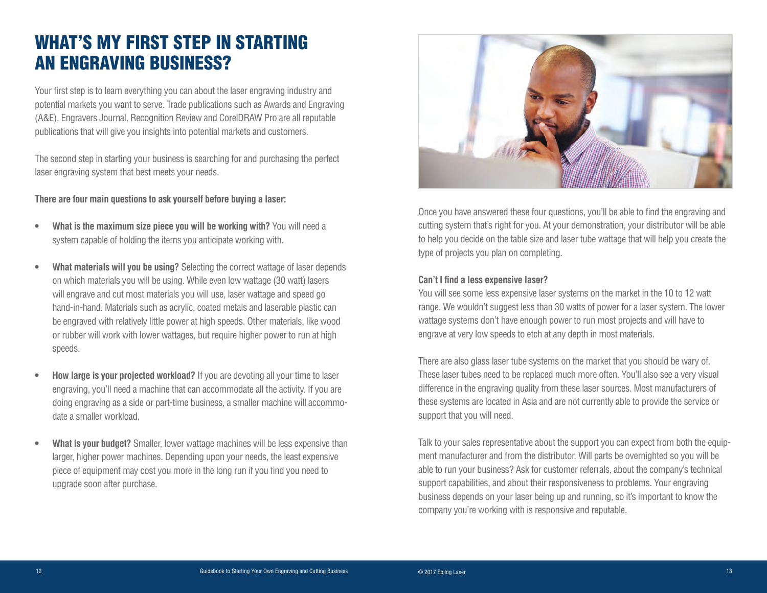# WHAT'S MY FIRST STEP IN STARTING AN ENGRAVING BUSINESS?

Your first step is to learn everything you can about the laser engraving industry and potential markets you want to serve. Trade publications such as Awards and Engraving (A&E), Engravers Journal, Recognition Review and CorelDRAW Pro are all reputable publications that will give you insights into potential markets and customers.

The second step in starting your business is searching for and purchasing the perfect laser engraving system that best meets your needs.

**There are four main questions to ask yourself before buying a laser:**

- **• What is the maximum size piece you will be working with?** You will need a system capable of holding the items you anticipate working with.
- **• What materials will you be using?** Selecting the correct wattage of laser depends on which materials you will be using. While even low wattage (30 watt) lasers will engrave and cut most materials you will use, laser wattage and speed go hand-in-hand. Materials such as acrylic, coated metals and laserable plastic can be engraved with relatively little power at high speeds. Other materials, like wood or rubber will work with lower wattages, but require higher power to run at high speeds.
- **• How large is your projected workload?** If you are devoting all your time to laser engraving, you'll need a machine that can accommodate all the activity. If you are doing engraving as a side or part-time business, a smaller machine will accommodate a smaller workload.
- **• What is your budget?** Smaller, lower wattage machines will be less expensive than larger, higher power machines. Depending upon your needs, the least expensive piece of equipment may cost you more in the long run if you find you need to upgrade soon after purchase.



Once you have answered these four questions, you'll be able to find the engraving and cutting system that's right for you. At your demonstration, your distributor will be able to help you decide on the table size and laser tube wattage that will help you create the type of projects you plan on completing.

### **Can't I find a less expensive laser?**

You will see some less expensive laser systems on the market in the 10 to 12 watt range. We wouldn't suggest less than 30 watts of power for a laser system. The lower wattage systems don't have enough power to run most projects and will have to engrave at very low speeds to etch at any depth in most materials.

There are also glass laser tube systems on the market that you should be wary of. These laser tubes need to be replaced much more often. You'll also see a very visual difference in the engraving quality from these laser sources. Most manufacturers of these systems are located in Asia and are not currently able to provide the service or support that you will need.

Talk to your sales representative about the support you can expect from both the equipment manufacturer and from the distributor. Will parts be overnighted so you will be able to run your business? Ask for customer referrals, about the company's technical support capabilities, and about their responsiveness to problems. Your engraving business depends on your laser being up and running, so it's important to know the company you're working with is responsive and reputable.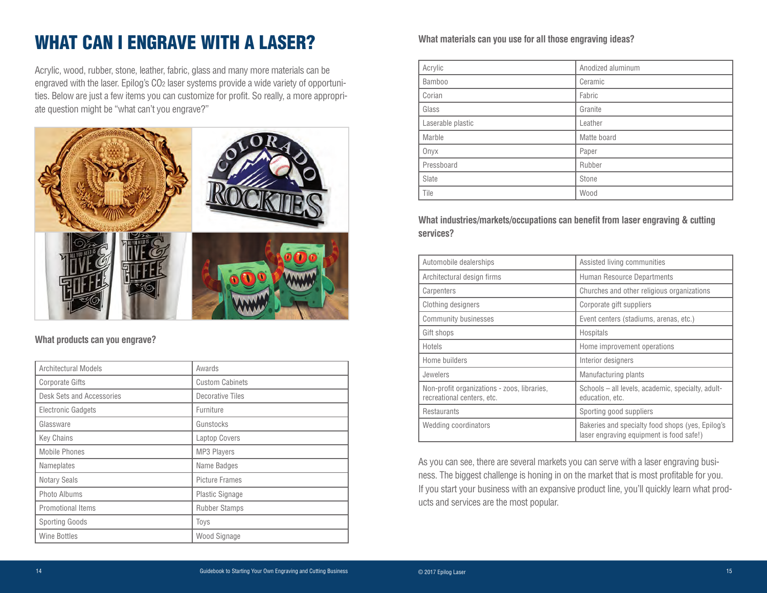# WHAT CAN I ENGRAVE WITH A LASER?

Acrylic, wood, rubber, stone, leather, fabric, glass and many more materials can be engraved with the laser. Epilog's CO2 laser systems provide a wide variety of opportunities. Below are just a few items you can customize for profit. So really, a more appropriate question might be "what can't you engrave?"



### **What products can you engrave?**

| Architectural Models      | Awards                 |
|---------------------------|------------------------|
| <b>Corporate Gifts</b>    | <b>Custom Cabinets</b> |
| Desk Sets and Accessories | Decorative Tiles       |
| <b>Electronic Gadgets</b> | Furniture              |
| Glassware                 | Gunstocks              |
| <b>Key Chains</b>         | Laptop Covers          |
| <b>Mobile Phones</b>      | MP3 Players            |
| Nameplates                | Name Badges            |
| <b>Notary Seals</b>       | <b>Picture Frames</b>  |
| Photo Albums              | <b>Plastic Signage</b> |
| Promotional Items         | <b>Rubber Stamps</b>   |
| Sporting Goods            | Toys                   |
| <b>Wine Bottles</b>       | Wood Signage           |

# **What materials can you use for all those engraving ideas?**

| Acrylic           | Anodized aluminum |
|-------------------|-------------------|
| Bamboo            | Ceramic           |
| Corian            | Fabric            |
| Glass             | Granite           |
| Laserable plastic | Leather           |
| Marble            | Matte board       |
| Onyx              | Paper             |
| Pressboard        | Rubber            |
| Slate             | Stone             |
| Tile              | Wood              |

**What industries/markets/occupations can benefit from laser engraving & cutting services?**

| Automobile dealerships                                                    | Assisted living communities                                                                  |
|---------------------------------------------------------------------------|----------------------------------------------------------------------------------------------|
| Architectural design firms                                                | Human Resource Departments                                                                   |
| Carpenters                                                                | Churches and other religious organizations                                                   |
| Clothing designers                                                        | Corporate gift suppliers                                                                     |
| <b>Community businesses</b>                                               | Event centers (stadiums, arenas, etc.)                                                       |
| Gift shops                                                                | <b>Hospitals</b>                                                                             |
| Hotels                                                                    | Home improvement operations                                                                  |
| Home builders                                                             | Interior designers                                                                           |
| Jewelers                                                                  | Manufacturing plants                                                                         |
| Non-profit organizations - zoos, libraries,<br>recreational centers, etc. | Schools – all levels, academic, specialty, adult-<br>education, etc.                         |
| Restaurants                                                               | Sporting good suppliers                                                                      |
| Wedding coordinators                                                      | Bakeries and specialty food shops (yes, Epilog's<br>laser engraving equipment is food safe!) |

As you can see, there are several markets you can serve with a laser engraving business. The biggest challenge is honing in on the market that is most profitable for you. If you start your business with an expansive product line, you'll quickly learn what products and services are the most popular.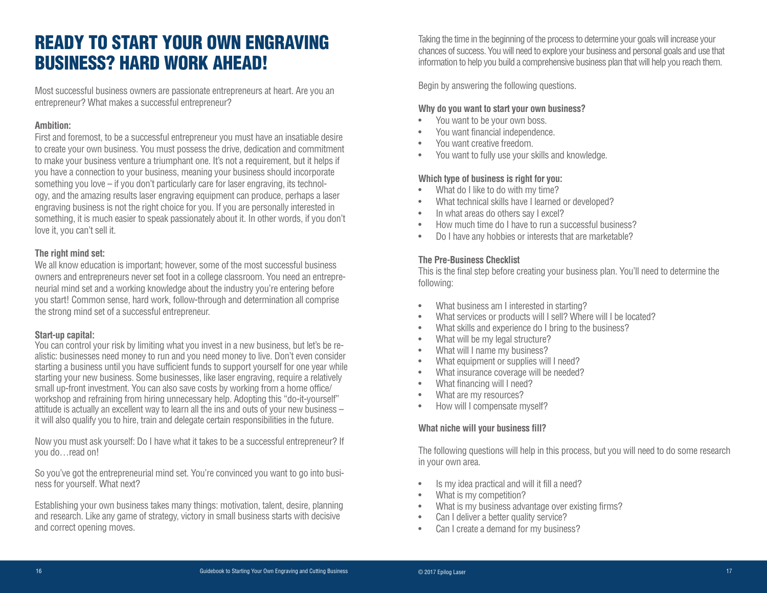# READY TO START YOUR OWN ENGRAVING BUSINESS? HARD WORK AHEAD!

Most successful business owners are passionate entrepreneurs at heart. Are you an entrepreneur? What makes a successful entrepreneur?

#### **Ambition:**

First and foremost, to be a successful entrepreneur you must have an insatiable desire to create your own business. You must possess the drive, dedication and commitment to make your business venture a triumphant one. It's not a requirement, but it helps if you have a connection to your business, meaning your business should incorporate something you love – if you don't particularly care for laser engraving, its technology, and the amazing results laser engraving equipment can produce, perhaps a laser engraving business is not the right choice for you. If you are personally interested in something, it is much easier to speak passionately about it. In other words, if you don't love it, you can't sell it.

### **The right mind set:**

We all know education is important; however, some of the most successful business owners and entrepreneurs never set foot in a college classroom. You need an entrepreneurial mind set and a working knowledge about the industry you're entering before you start! Common sense, hard work, follow-through and determination all comprise the strong mind set of a successful entrepreneur.

### **Start-up capital:**

You can control your risk by limiting what you invest in a new business, but let's be realistic: businesses need money to run and you need money to live. Don't even consider starting a business until you have sufficient funds to support yourself for one year while starting your new business. Some businesses, like laser engraving, require a relatively small up-front investment. You can also save costs by working from a home office/ workshop and refraining from hiring unnecessary help. Adopting this "do-it-yourself" attitude is actually an excellent way to learn all the ins and outs of your new business – it will also qualify you to hire, train and delegate certain responsibilities in the future.

Now you must ask yourself: Do I have what it takes to be a successful entrepreneur? If you do…read on!

So you've got the entrepreneurial mind set. You're convinced you want to go into business for yourself. What next?

Establishing your own business takes many things: motivation, talent, desire, planning and research. Like any game of strategy, victory in small business starts with decisive and correct opening moves.

Taking the time in the beginning of the process to determine your goals will increase your chances of success. You will need to explore your business and personal goals and use that information to help you build a comprehensive business plan that will help you reach them.

Begin by answering the following questions.

# **Why do you want to start your own business?**

- You want to be your own boss.
- You want financial independence.
- You want creative freedom.
- You want to fully use your skills and knowledge.

# **Which type of business is right for you:**

- What do I like to do with my time?
- What technical skills have I learned or developed?
- In what areas do others say I excel?
- How much time do I have to run a successful business?
- Do I have any hobbies or interests that are marketable?

# **The Pre-Business Checklist**

This is the final step before creating your business plan. You'll need to determine the following:

- What business am I interested in starting?
- What services or products will I sell? Where will I be located?
- What skills and experience do I bring to the business?
- What will be my legal structure?
- What will I name my business?
- What equipment or supplies will I need?
- What insurance coverage will be needed?
- What financing will I need?
- What are my resources?
- How will I compensate myself?

# **What niche will your business fill?**

The following questions will help in this process, but you will need to do some research in your own area.

- Is my idea practical and will it fill a need?
- What is my competition?
- What is my business advantage over existing firms?
- Can I deliver a better quality service?
- Can I create a demand for my business?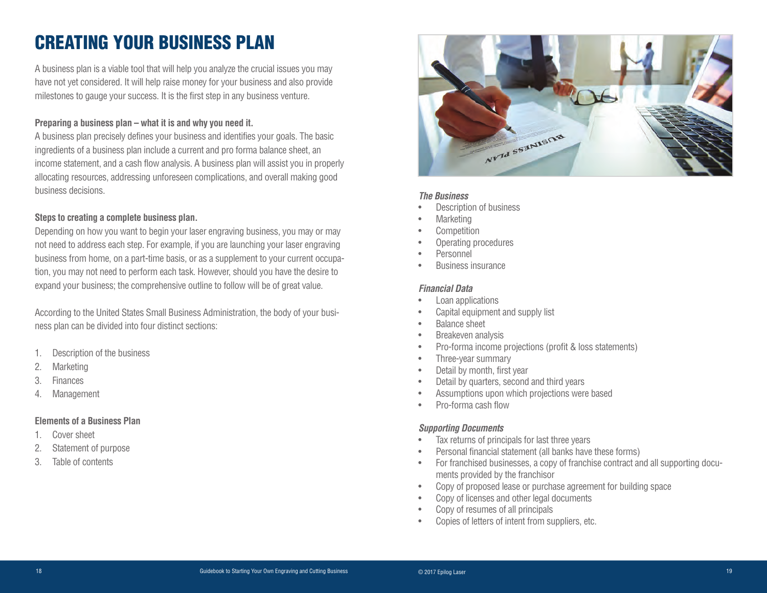# CREATING YOUR BUSINESS PLAN

A business plan is a viable tool that will help you analyze the crucial issues you may have not yet considered. It will help raise money for your business and also provide milestones to gauge your success. It is the first step in any business venture.

### **Preparing a business plan – what it is and why you need it.**

A business plan precisely defines your business and identifies your goals. The basic ingredients of a business plan include a current and pro forma balance sheet, an income statement, and a cash flow analysis. A business plan will assist you in properly allocating resources, addressing unforeseen complications, and overall making good business decisions.

### **Steps to creating a complete business plan.**

Depending on how you want to begin your laser engraving business, you may or may not need to address each step. For example, if you are launching your laser engraving business from home, on a part-time basis, or as a supplement to your current occupation, you may not need to perform each task. However, should you have the desire to expand your business; the comprehensive outline to follow will be of great value.

According to the United States Small Business Administration, the body of your business plan can be divided into four distinct sections:

- 1. Description of the business
- 2. Marketing
- 3. Finances
- 4. Management

#### **Elements of a Business Plan**

- 1. Cover sheet
- 2. Statement of purpose
- 3. Table of contents



### *The Business*

- Description of business
- Marketing
- **Competition**
- Operating procedures
- Personnel
- Business insurance

#### *Financial Data*

- Loan applications
- Capital equipment and supply list
- Balance sheet
- Breakeven analysis
- Pro-forma income projections (profit & loss statements)
- Three-year summary
- Detail by month, first year
- Detail by quarters, second and third years
- Assumptions upon which projections were based
- Pro-forma cash flow

#### *Supporting Documents*

- Tax returns of principals for last three years
- Personal financial statement (all banks have these forms)
- For franchised businesses, a copy of franchise contract and all supporting documents provided by the franchisor
- Copy of proposed lease or purchase agreement for building space
- Copy of licenses and other legal documents
- Copy of resumes of all principals
- Copies of letters of intent from suppliers, etc.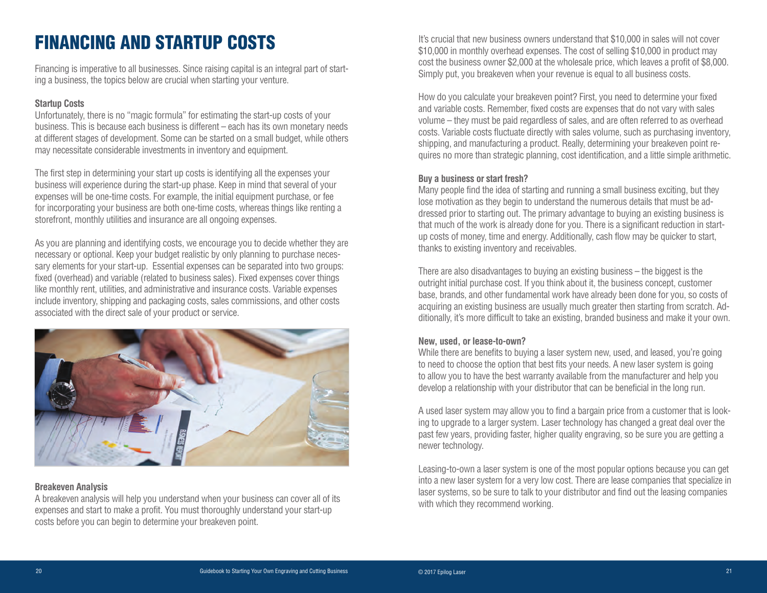# FINANCING AND STARTUP COSTS

Financing is imperative to all businesses. Since raising capital is an integral part of starting a business, the topics below are crucial when starting your venture.

### **Startup Costs**

Unfortunately, there is no "magic formula" for estimating the start-up costs of your business. This is because each business is different – each has its own monetary needs at different stages of development. Some can be started on a small budget, while others may necessitate considerable investments in inventory and equipment.

The first step in determining your start up costs is identifying all the expenses your business will experience during the start-up phase. Keep in mind that several of your expenses will be one-time costs. For example, the initial equipment purchase, or fee for incorporating your business are both one-time costs, whereas things like renting a storefront, monthly utilities and insurance are all ongoing expenses.

As you are planning and identifying costs, we encourage you to decide whether they are necessary or optional. Keep your budget realistic by only planning to purchase necessary elements for your start-up. Essential expenses can be separated into two groups: fixed (overhead) and variable (related to business sales). Fixed expenses cover things like monthly rent, utilities, and administrative and insurance costs. Variable expenses include inventory, shipping and packaging costs, sales commissions, and other costs associated with the direct sale of your product or service.



#### **Breakeven Analysis**

A breakeven analysis will help you understand when your business can cover all of its expenses and start to make a profit. You must thoroughly understand your start-up costs before you can begin to determine your breakeven point.

It's crucial that new business owners understand that \$10,000 in sales will not cover \$10,000 in monthly overhead expenses. The cost of selling \$10,000 in product may cost the business owner \$2,000 at the wholesale price, which leaves a profit of \$8,000. Simply put, you breakeven when your revenue is equal to all business costs.

How do you calculate your breakeven point? First, you need to determine your fixed and variable costs. Remember, fixed costs are expenses that do not vary with sales volume – they must be paid regardless of sales, and are often referred to as overhead costs. Variable costs fluctuate directly with sales volume, such as purchasing inventory, shipping, and manufacturing a product. Really, determining your breakeven point requires no more than strategic planning, cost identification, and a little simple arithmetic.

#### **Buy a business or start fresh?**

Many people find the idea of starting and running a small business exciting, but they lose motivation as they begin to understand the numerous details that must be addressed prior to starting out. The primary advantage to buying an existing business is that much of the work is already done for you. There is a significant reduction in startup costs of money, time and energy. Additionally, cash flow may be quicker to start, thanks to existing inventory and receivables.

There are also disadvantages to buying an existing business – the biggest is the outright initial purchase cost. If you think about it, the business concept, customer base, brands, and other fundamental work have already been done for you, so costs of acquiring an existing business are usually much greater then starting from scratch. Additionally, it's more difficult to take an existing, branded business and make it your own.

### **New, used, or lease-to-own?**

While there are benefits to buying a laser system new, used, and leased, you're going to need to choose the option that best fits your needs. A new laser system is going to allow you to have the best warranty available from the manufacturer and help you develop a relationship with your distributor that can be beneficial in the long run.

A used laser system may allow you to find a bargain price from a customer that is looking to upgrade to a larger system. Laser technology has changed a great deal over the past few years, providing faster, higher quality engraving, so be sure you are getting a newer technology.

Leasing-to-own a laser system is one of the most popular options because you can get into a new laser system for a very low cost. There are lease companies that specialize in laser systems, so be sure to talk to your distributor and find out the leasing companies with which they recommend working.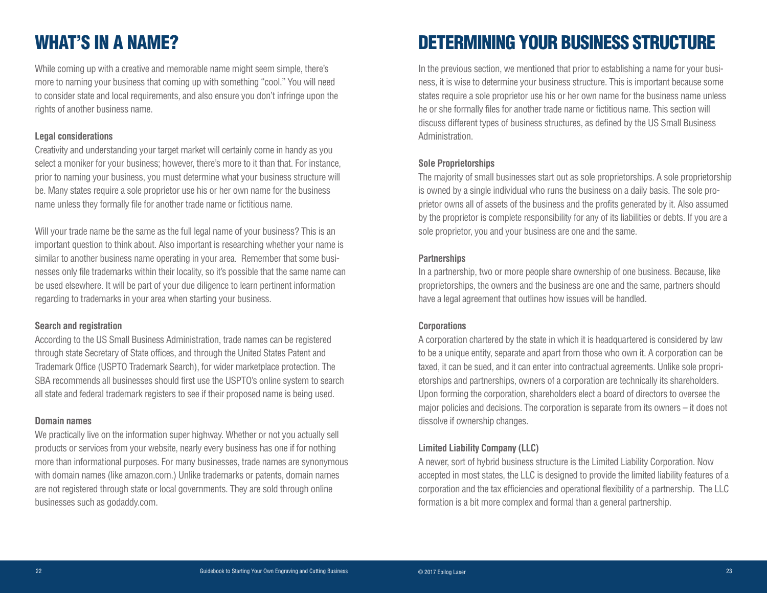# WHAT'S IN A NAME?

While coming up with a creative and memorable name might seem simple, there's more to naming your business that coming up with something "cool." You will need to consider state and local requirements, and also ensure you don't infringe upon the rights of another business name.

## **Legal considerations**

Creativity and understanding your target market will certainly come in handy as you select a moniker for your business; however, there's more to it than that. For instance, prior to naming your business, you must determine what your business structure will be. Many states require a sole proprietor use his or her own name for the business name unless they formally file for another trade name or fictitious name.

Will your trade name be the same as the full legal name of your business? This is an important question to think about. Also important is researching whether your name is similar to another business name operating in your area. Remember that some businesses only file trademarks within their locality, so it's possible that the same name can be used elsewhere. It will be part of your due diligence to learn pertinent information regarding to trademarks in your area when starting your business.

### **Search and registration**

According to the US Small Business Administration, trade names can be registered through state Secretary of State offices, and through the United States Patent and Trademark Office (USPTO Trademark Search), for wider marketplace protection. The SBA recommends all businesses should first use the USPTO's online system to search all state and federal trademark registers to see if their proposed name is being used.

### **Domain names**

We practically live on the information super highway. Whether or not you actually sell products or services from your website, nearly every business has one if for nothing more than informational purposes. For many businesses, trade names are synonymous with domain names (like amazon.com.) Unlike trademarks or patents, domain names are not registered through state or local governments. They are sold through online businesses such as godaddy.com.

# DETERMINING YOUR BUSINESS STRUCTURE

In the previous section, we mentioned that prior to establishing a name for your business, it is wise to determine your business structure. This is important because some states require a sole proprietor use his or her own name for the business name unless he or she formally files for another trade name or fictitious name. This section will discuss different types of business structures, as defined by the US Small Business Administration.

### **Sole Proprietorships**

The majority of small businesses start out as sole proprietorships. A sole proprietorship is owned by a single individual who runs the business on a daily basis. The sole proprietor owns all of assets of the business and the profits generated by it. Also assumed by the proprietor is complete responsibility for any of its liabilities or debts. If you are a sole proprietor, you and your business are one and the same.

## **Partnerships**

In a partnership, two or more people share ownership of one business. Because, like proprietorships, the owners and the business are one and the same, partners should have a legal agreement that outlines how issues will be handled.

### **Corporations**

A corporation chartered by the state in which it is headquartered is considered by law to be a unique entity, separate and apart from those who own it. A corporation can be taxed, it can be sued, and it can enter into contractual agreements. Unlike sole proprietorships and partnerships, owners of a corporation are technically its shareholders. Upon forming the corporation, shareholders elect a board of directors to oversee the major policies and decisions. The corporation is separate from its owners – it does not dissolve if ownership changes.

## **Limited Liability Company (LLC)**

A newer, sort of hybrid business structure is the Limited Liability Corporation. Now accepted in most states, the LLC is designed to provide the limited liability features of a corporation and the tax efficiencies and operational flexibility of a partnership. The LLC formation is a bit more complex and formal than a general partnership.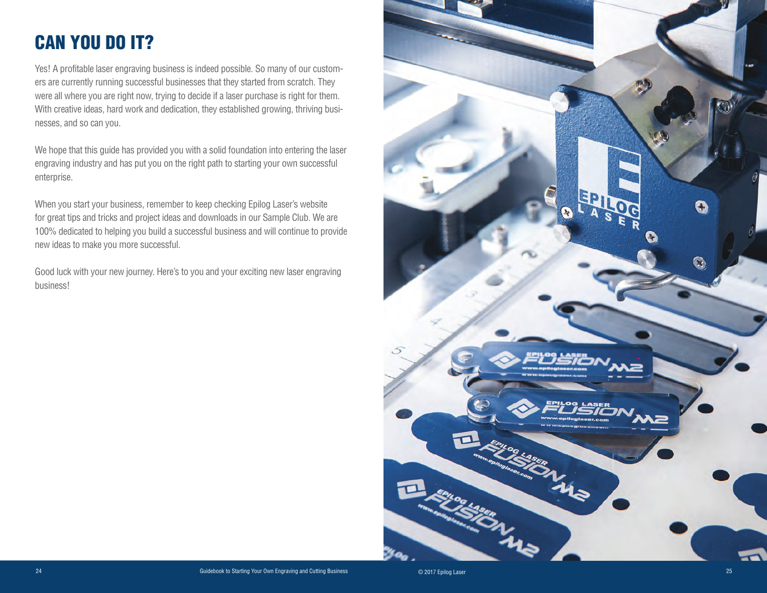# CAN YOU DO IT?

Yes! A profitable laser engraving business is indeed possible. So many of our customers are currently running successful businesses that they started from scratch. They were all where you are right now, trying to decide if a laser purchase is right for them. With creative ideas, hard work and dedication, they established growing, thriving businesses, and so can you.

We hope that this guide has provided you with a solid foundation into entering the laser engraving industry and has put you on the right path to starting your own successful enterprise.

When you start your business, remember to keep checking Epilog Laser's website for great tips and tricks and project ideas and downloads in our Sample Club. We are 100% dedicated to helping you build a successful business and will continue to provide new ideas to make you more successful.

Good luck with your new journey. Here's to you and your exciting new laser engraving business!